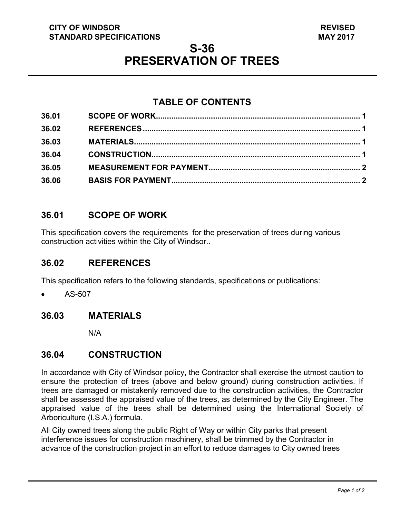#### **CITY OF WINDSOR STANDARD SPECIFICATIONS**

# **S-36 PRESERVATION OF TREES**

## **TABLE OF CONTENTS**

| 36.01 |  |
|-------|--|
| 36.02 |  |
| 36.03 |  |
| 36.04 |  |
| 36.05 |  |
| 36.06 |  |

## <span id="page-0-3"></span>**36.01 SCOPE OF WORK**

This specification covers the requirements for the preservation of trees during various construction activities within the City of Windsor..

### <span id="page-0-0"></span>**36.02 REFERENCES**

This specification refers to the following standards, specifications or publications:

• AS-507

## <span id="page-0-1"></span>**36.03 MATERIALS**

N/A

### <span id="page-0-2"></span>**36.04 CONSTRUCTION**

In accordance with City of Windsor policy, the Contractor shall exercise the utmost caution to ensure the protection of trees (above and below ground) during construction activities. If trees are damaged or mistakenly removed due to the construction activities, the Contractor shall be assessed the appraised value of the trees, as determined by the City Engineer. The appraised value of the trees shall be determined using the International Society of Arboriculture (I.S.A.) formula.

All City owned trees along the public Right of Way or within City parks that present interference issues for construction machinery, shall be trimmed by the Contractor in advance of the construction project in an effort to reduce damages to City owned trees